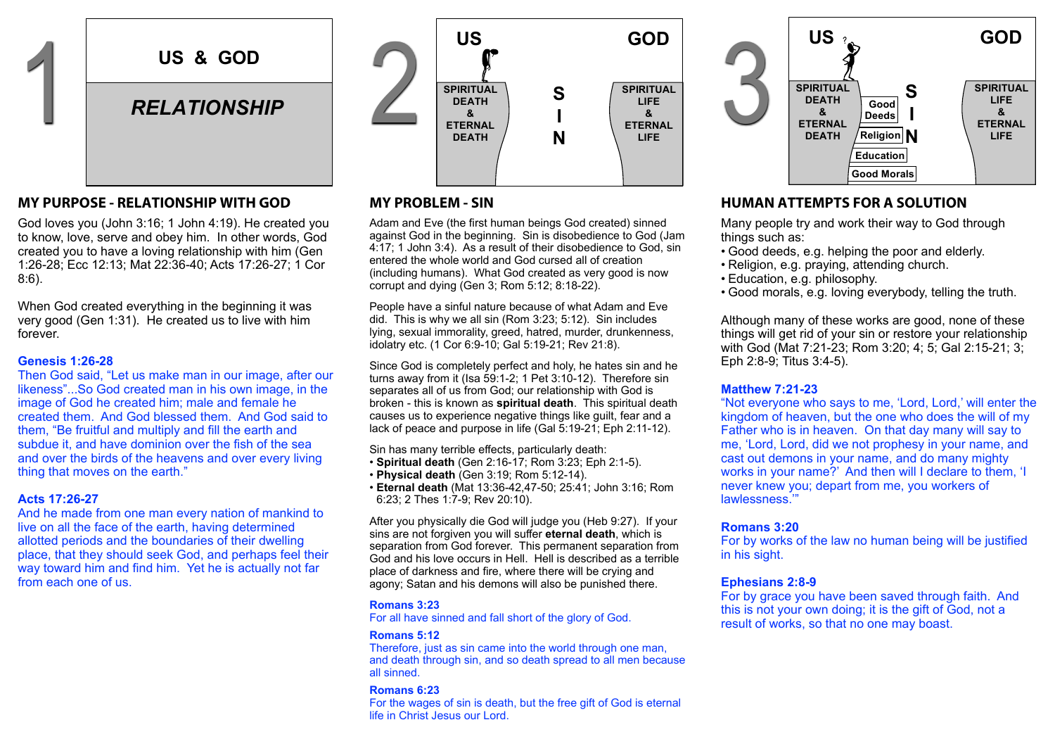

## **MY PURPOSE - RELATIONSHIP WITH GOD**

God loves you (John 3:16; 1 John 4:19). He created you to know, love, serve and obey him. In other words, God created you to have a loving relationship with him (Gen 1:26-28; Ecc 12:13; Mat 22:36-40; Acts 17:26-27; 1 Cor 8:6). and loves you (John

When God created everything in the beginning it was very good (Gen 1:31). He created us to live with him forever.

#### **Genesis 1:26-28**

Then God said, "Let us make man in our image, after our likeness"...So God created man in his own image, in the image of God he created him; male and female he created them. And God blessed them. And God said to them, "Be fruitful and multiply and fill the earth and subdue it, and have dominion over the fish of the sea and over the birds of the heavens and over every living thing that moves on the earth."

#### **Acts 17:26-27**

And he made from one man every nation of mankind to  $\frac{3}{2}$ And he made from one man every haddle or manking to **After**<br>live on all the face of the earth, having determined allotted periods and the boundaries of their dwelling place, that they should seek God, and perhaps feel their way toward him and find him. Yet he is actually not far from each one of us.  $\alpha$  we on an une lace of the earth, having determined



# **MY PROBLEM - SIN**

Adam and Eve (the first human beings God created) sinned recent character (the mortheman soliting over chocked) chance.<br>against God in the beginning. Sin is disobedience to God (Jam 4:17; 1 John 3:4). As a result of their disobedience to God, sin James 4:17 entered the whole world and God cursed all of creation (including humans). What God created as very good is now  $\overline{\text{corrupt}}$  and dying (Gen 3; Rom 5:12; 8:18-22).

People have a sinful nature because of what Adam and Eve did. This is why we all sin (Rom 3:23; 5:12). Sin includes lying, sexual immorality, greed, hatred, murder, drunkenness, externity idolatry etc. (1 Cor 6:9-10; Gal 5:19-21; Rev 21:8).  $\mathsf{M}$ 

Since God is completely perfect and holy, he hates sin and he **Figure** once God is completely perfect and noly, he hales sin and in<br>turns away from it (Isa 59:1-2; 1 Pet 3:10-12). Therefore sin separates all of us from God; our relationship with God is **Mathematic in 1998** broken - this is known as **spiritual death**. This spiritual death causes us to experience negative things like guilt, fear and a lack of peace and purpose in life (Gal 5:19-21; Eph 2:11-12).

Sin has many terrible effects, particularly death: • **Spiritual death** (Gen 2:16-17; Rom 3:23; Eph 2:1-5). Ca

- **Physical death** (Gen 3:19; Rom 5:12-14).
- **Eternal death** (Mat 13:36-42,47-50; 25:41; John 3:16; Rom committed and write down any other sins you know of in the spaces provided.

6:23: 2 Thes 1:7-9; Rev 20:10). □ Enmity (hatred) Sorcery (witchcraft)

After you physically die EDO will judge you (Heb 9:27). If your ry **Mich Homosexiality") The Slander Library (abusive talk) \_\_\_\_\_\_\_\_\_\_\_\_\_\_\_\_\_\_\_\_\_\_\_<br>Sins are not forgiven you will suffer <b>eternal death**, which is separation from God forever. This permanent separation from God and his love occurs in Hell. Hell is described as a terrible place of darkness and fire, where there will be crying and agony; Satan and his demons will also be punished there.  $\Box$  Drunkenijes Anglickijes The strift Strift (confliction)  $\Box$ 

#### **Romans 3:23**

For all have sinned and fall short of the glory of God.

#### **Romans 5:12**

Therefore, just as sin came into the world through one man, and death through sin, and so death spread to all men because all sinned.

#### **Romans 6:23**

For the wages of sin is death, but the free gift of God is eternal life in Christ Jesus our Lord.



# **HUMAN ATTEMPTS FOR A SOLUTION**

Many people try and work their way to God through things such as:

- Good deeds, e.g. helping the poor and elderly.
- Religion, e.g. praying, attending church.
- Education, e.g. philosophy.
- Good morals, e.g. loving everybody, telling the truth.

Although many of these works are good, none of these things will get rid of your sin or restore your relationship with God (Mat 7:21-23; Rom 3:20; 4; 5; Gal 2:15-21; 3; Eph 2:8-9; Titus 3:4-5).

#### **Matthew 7:21-23**

"Not everyone who says to me, 'Lord, Lord,' will enter the kingdom of heaven, but the one who does the will of my Father who is in heaven. On that day many will say to me, 'Lord, Lord, did we not prophesy in your name, and cast out demons in your name, and do many mighty works in your name?' And then will I declare to them, 'I never knew you; depart from me, you workers of lawlessness.'"

#### **Romans 3:20**

For by works of the law no human being will be justified in his sight. 3

#### **Ephesians 2:8-9**

For by grace you have been saved through faith. And this is not your own doing; it is the gift of God, not a result of works, so that no one may boast.